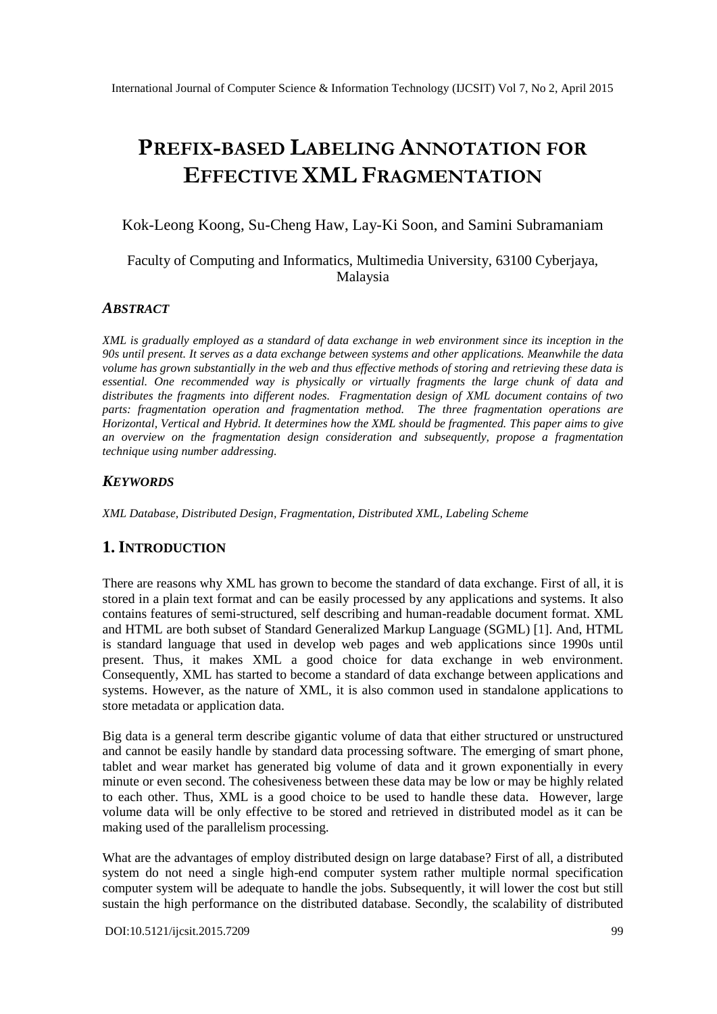# **PREFIX-BASED LABELING ANNOTATION FOR EFFECTIVE XML FRAGMENTATION**

#### Kok-Leong Koong, Su-Cheng Haw, Lay-Ki Soon, and Samini Subramaniam

## Faculty of Computing and Informatics, Multimedia University, 63100 Cyberjaya, Malaysia

#### *ABSTRACT*

*XML is gradually employed as a standard of data exchange in web environment since its inception in the 90s until present. It serves as a data exchange between systems and other applications. Meanwhile the data volume has grown substantially in the web and thus effective methods of storing and retrieving these data is essential. One recommended way is physically or virtually fragments the large chunk of data and distributes the fragments into different nodes. Fragmentation design of XML document contains of two parts: fragmentation operation and fragmentation method. The three fragmentation operations are Horizontal, Vertical and Hybrid. It determines how the XML should be fragmented. This paper aims to give an overview on the fragmentation design consideration and subsequently, propose a fragmentation technique using number addressing.*

#### *KEYWORDS*

*XML Database, Distributed Design, Fragmentation, Distributed XML, Labeling Scheme*

## **1.INTRODUCTION**

There are reasons why XML has grown to become the standard of data exchange. First of all, it is stored in a plain text format and can be easily processed by any applications and systems. It also contains features of semi-structured, self describing and human-readable document format. XML and HTML are both subset of Standard Generalized Markup Language (SGML) [1]. And, HTML is standard language that used in develop web pages and web applications since 1990s until present. Thus, it makes XML a good choice for data exchange in web environment. Consequently, XML has started to become a standard of data exchange between applications and systems. However, as the nature of XML, it is also common used in standalone applications to store metadata or application data.

Big data is a general term describe gigantic volume of data that either structured or unstructured and cannot be easily handle by standard data processing software. The emerging of smart phone, tablet and wear market has generated big volume of data and it grown exponentially in every minute or even second. The cohesiveness between these data may be low or may be highly related to each other. Thus, XML is a good choice to be used to handle these data. However, large volume data will be only effective to be stored and retrieved in distributed model as it can be making used of the parallelism processing.

What are the advantages of employ distributed design on large database? First of all, a distributed system do not need a single high-end computer system rather multiple normal specification computer system will be adequate to handle the jobs. Subsequently, it will lower the cost but still sustain the high performance on the distributed database. Secondly, the scalability of distributed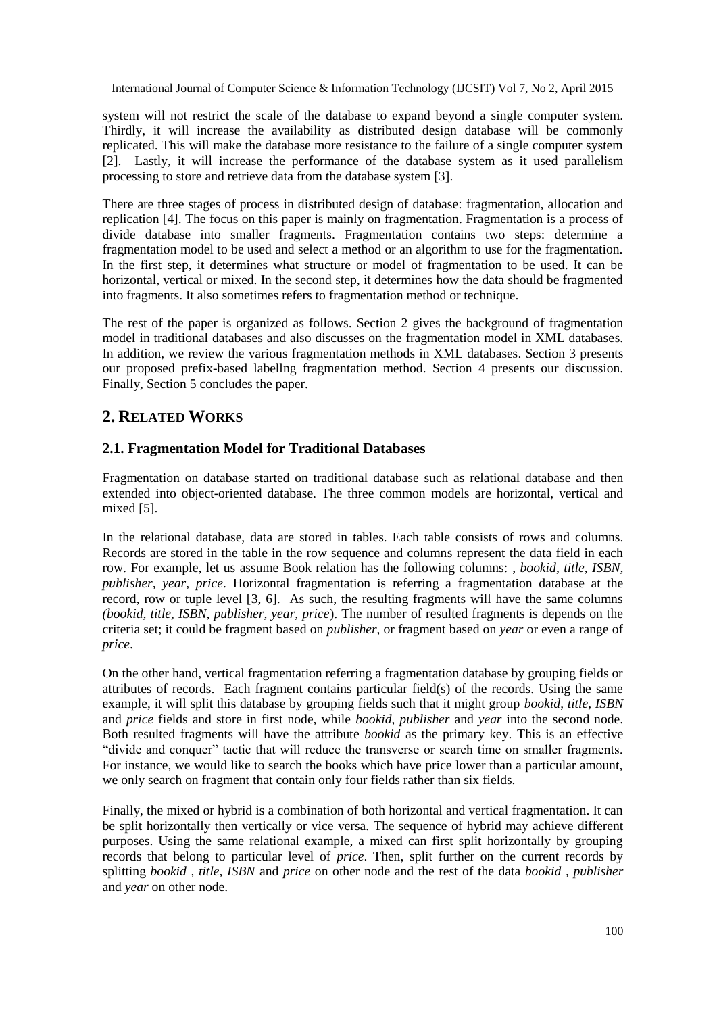system will not restrict the scale of the database to expand beyond a single computer system. Thirdly, it will increase the availability as distributed design database will be commonly replicated. This will make the database more resistance to the failure of a single computer system [2]. Lastly, it will increase the performance of the database system as it used parallelism processing to store and retrieve data from the database system [3].

There are three stages of process in distributed design of database: fragmentation, allocation and replication [4]. The focus on this paper is mainly on fragmentation. Fragmentation is a process of divide database into smaller fragments. Fragmentation contains two steps: determine a fragmentation model to be used and select a method or an algorithm to use for the fragmentation. In the first step, it determines what structure or model of fragmentation to be used. It can be horizontal, vertical or mixed. In the second step, it determines how the data should be fragmented into fragments. It also sometimes refers to fragmentation method or technique.

The rest of the paper is organized as follows. Section 2 gives the background of fragmentation model in traditional databases and also discusses on the fragmentation model in XML databases. In addition, we review the various fragmentation methods in XML databases. Section 3 presents our proposed prefix-based labellng fragmentation method. Section 4 presents our discussion. Finally, Section 5 concludes the paper.

# **2. RELATED WORKS**

#### **2.1. Fragmentation Model for Traditional Databases**

Fragmentation on database started on traditional database such as relational database and then extended into object-oriented database. The three common models are horizontal, vertical and mixed [5].

In the relational database, data are stored in tables. Each table consists of rows and columns. Records are stored in the table in the row sequence and columns represent the data field in each row. For example, let us assume Book relation has the following columns: , *bookid*, *title, ISBN, publisher, year, price*. Horizontal fragmentation is referring a fragmentation database at the record, row or tuple level [3, 6]. As such, the resulting fragments will have the same columns *(bookid, title, ISBN, publisher, year, price*). The number of resulted fragments is depends on the criteria set; it could be fragment based on *publisher*, or fragment based on *year* or even a range of *price*.

On the other hand, vertical fragmentation referring a fragmentation database by grouping fields or attributes of records. Each fragment contains particular field(s) of the records. Using the same example, it will split this database by grouping fields such that it might group *bookid*, *title, ISBN* and *price* fields and store in first node, while *bookid*, *publisher* and *year* into the second node. Both resulted fragments will have the attribute *bookid* as the primary key. This is an effective "divide and conquer" tactic that will reduce the transverse or search time on smaller fragments. For instance, we would like to search the books which have price lower than a particular amount, we only search on fragment that contain only four fields rather than six fields.

Finally, the mixed or hybrid is a combination of both horizontal and vertical fragmentation. It can be split horizontally then vertically or vice versa. The sequence of hybrid may achieve different purposes. Using the same relational example, a mixed can first split horizontally by grouping records that belong to particular level of *price*. Then, split further on the current records by splitting *bookid , title, ISBN* and *price* on other node and the rest of the data *bookid , publisher* and *year* on other node.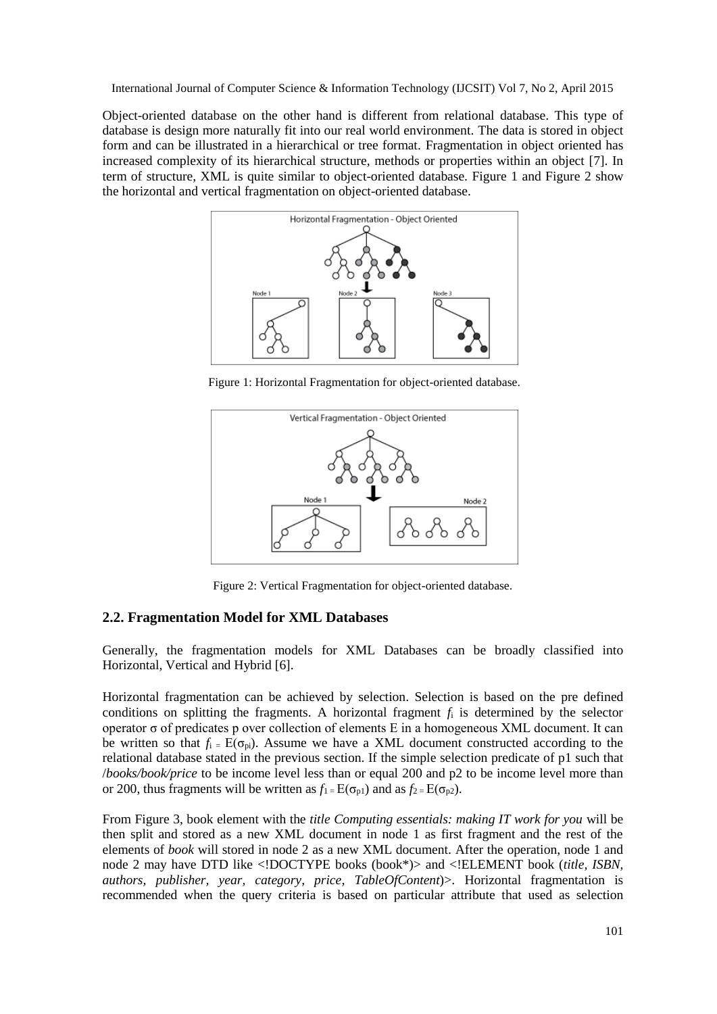Object-oriented database on the other hand is different from relational database. This type of database is design more naturally fit into our real world environment. The data is stored in object form and can be illustrated in a hierarchical or tree format. Fragmentation in object oriented has increased complexity of its hierarchical structure, methods or properties within an object [7]. In term of structure, XML is quite similar to object-oriented database. Figure 1 and Figure 2 show the horizontal and vertical fragmentation on object-oriented database.



Figure 1: Horizontal Fragmentation for object-oriented database.



Figure 2: Vertical Fragmentation for object-oriented database.

#### **2.2. Fragmentation Model for XML Databases**

Generally, the fragmentation models for XML Databases can be broadly classified into Horizontal, Vertical and Hybrid [6].

Horizontal fragmentation can be achieved by selection. Selection is based on the pre defined conditions on splitting the fragments. A horizontal fragment  $f_i$  is determined by the selector operator σ of predicates p over collection of elements E in a homogeneous XML document. It can be written so that  $f_i = E(\sigma_{ni})$ . Assume we have a XML document constructed according to the relational database stated in the previous section. If the simple selection predicate of p1 such that /*books/book/price* to be income level less than or equal 200 and p2 to be income level more than or 200, thus fragments will be written as  $f_1 = E(\sigma_{p1})$  and as  $f_2 = E(\sigma_{p2})$ .

From Figure 3, book element with the *title Computing essentials: making IT work for you* will be then split and stored as a new XML document in node 1 as first fragment and the rest of the elements of *book* will stored in node 2 as a new XML document. After the operation, node 1 and node 2 may have DTD like <!DOCTYPE books (book\*)> and <!ELEMENT book (*title, ISBN, authors, publisher, year, category, price, TableOfContent*)>. Horizontal fragmentation is recommended when the query criteria is based on particular attribute that used as selection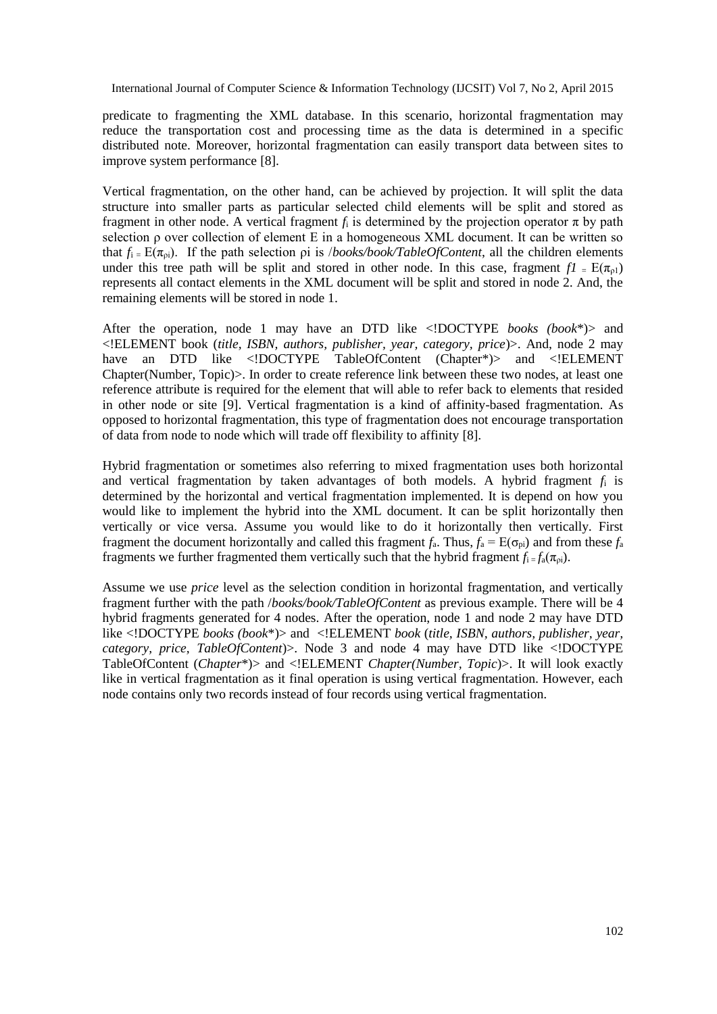predicate to fragmenting the XML database. In this scenario, horizontal fragmentation may reduce the transportation cost and processing time as the data is determined in a specific distributed note. Moreover, horizontal fragmentation can easily transport data between sites to improve system performance [8].

Vertical fragmentation, on the other hand, can be achieved by projection. It will split the data structure into smaller parts as particular selected child elements will be split and stored as fragment in other node. A vertical fragment *f*<sup>i</sup> is determined by the projection operator π by path selection ρ over collection of element E in a homogeneous XML document. It can be written so that  $f_i = E(\pi_{pi})$ . If the path selection *pi* is */books/book/TableOfContent*, all the children elements under this tree path will be split and stored in other node. In this case, fragment  $f_1 = E(\pi_{01})$ represents all contact elements in the XML document will be split and stored in node 2. And, the remaining elements will be stored in node 1.

After the operation, node 1 may have an DTD like <!DOCTYPE *books (book*\*)> and <!ELEMENT book (*title, ISBN, authors, publisher, year, category, price*)>. And, node 2 may have an DTD like <!DOCTYPE TableOfContent (Chapter\*)> and <!ELEMENT Chapter(Number, Topic)>. In order to create reference link between these two nodes, at least one reference attribute is required for the element that will able to refer back to elements that resided in other node or site [9]. Vertical fragmentation is a kind of affinity-based fragmentation. As opposed to horizontal fragmentation, this type of fragmentation does not encourage transportation of data from node to node which will trade off flexibility to affinity [8].

Hybrid fragmentation or sometimes also referring to mixed fragmentation uses both horizontal and vertical fragmentation by taken advantages of both models. A hybrid fragment *f*<sup>i</sup> is determined by the horizontal and vertical fragmentation implemented. It is depend on how you would like to implement the hybrid into the XML document. It can be split horizontally then vertically or vice versa. Assume you would like to do it horizontally then vertically. First fragment the document horizontally and called this fragment  $f_a$ . Thus,  $f_a = E(\sigma_{pi})$  and from these  $f_a$ fragments we further fragmented them vertically such that the hybrid fragment  $f_i = f_a(\pi_{0i})$ .

Assume we use *price* level as the selection condition in horizontal fragmentation, and vertically fragment further with the path /*books/book/TableOfContent* as previous example. There will be 4 hybrid fragments generated for 4 nodes. After the operation, node 1 and node 2 may have DTD like <!DOCTYPE *books (book*\*)> and <!ELEMENT *book* (*title, ISBN, authors, publisher, year, category, price, TableOfContent*)>. Node 3 and node 4 may have DTD like <!DOCTYPE TableOfContent (*Chapter*\*)> and <!ELEMENT *Chapter(Number, Topic*)>. It will look exactly like in vertical fragmentation as it final operation is using vertical fragmentation. However, each node contains only two records instead of four records using vertical fragmentation.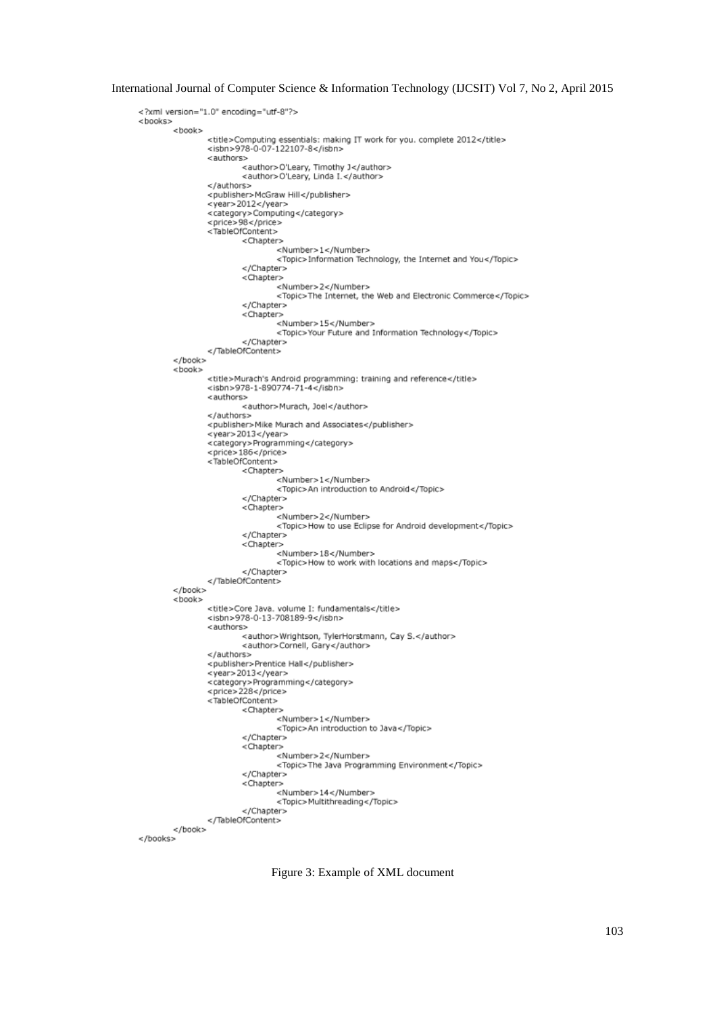```
<? xml version="1.0" encoding="utf-8"?>
: ">xml version="<br><books><br><book>
                <title>Computing essentials: making IT work for you. complete 2012</title><br><isbn>978-0-07-122107-8</isbn>
                 <authors>
                         <author>O'Leary, Timothy J</author><br><author>O'Leary, Linda I.</author>
                 </authors>
                 <publisher>McGraw Hill</publisher>
                 <year>2012</year>
                 <category>Computing</category>
                 <price>98</price>
                 <TableOfContent>
                         <Chapter>
                                  <Number>1</Number>
                                  <Topic>Information Technology, the Internet and You</Topic>
                         </Chapter>
                         <Chapter>
                                  <Number>2</Number>
                                  <Topic>The Internet, the Web and Electronic Commerce</Topic>
                         </Chapter>
                         <Chapter>
                                  <Number>15</Number>
                                  <Topic>Your Future and Information Technology</Topic>
                         </Chapter>
                 </TableOfContent>
        < /hook ><book>
                 <title>Murach's Android programming: training and reference</title>
                 <isbn>978-1-890774-71-4</isbn>
                 <authors>
                         <author>Murach, Joel</author>
                 </authors>
                 <publisher>Mike Murach and Associates</publisher>
                 <year>2013</year>
                 <category>Programming</category>
                 <price>186</price>
                 <TableOfContent>
                         <Chapter>
                                  <Number>1</Number>
                                  <Topic>An introduction to Android</Topic>
                         \epsilon/Chapter>
                         <Chapter>
                                  <Number>2</Number>
                                  <Topic>How to use Eclipse for Android development</Topic>
                         </Chapter>
                         <Chapter>
                                  <Number>18</Number>
                                  <Topic>How to work with locations and maps</Topic>
                         </Chapter>
                 </TableOfContent>
        </book>
        <book>
                 <title>Core Java. volume I: fundamentals</title>
                 <isbn>978-0-13-708189-9</isbn>
                 <authors>
                         <author>Wrightson, TylerHorstmann, Cay S.</author>
                         <author>Cornell, Gary</author>
                 </authors>
                 <publisher>Prentice Hall</publisher>
                 <year>2013</year>
                 <category>Programming</category>
                 <price>228</price>
                 <TableOfContent>
                         <Chapter>
                                  <Number>1</Number>
                                  <Topic>An introduction to Java</Topic>
                         </Chapter>
                         <Chapter>
                                 <Number>2</Number>
                                  <Topic>The Java Programming Environment</Topic>
                         </Chapter>
                         <Chapter>
                                  <Number>14</Number>
                                  <Topic>Multithreading</Topic>
                         </Chapter>
                </TableOfContent>
        </book>
</books>
```
Figure 3: Example of XML document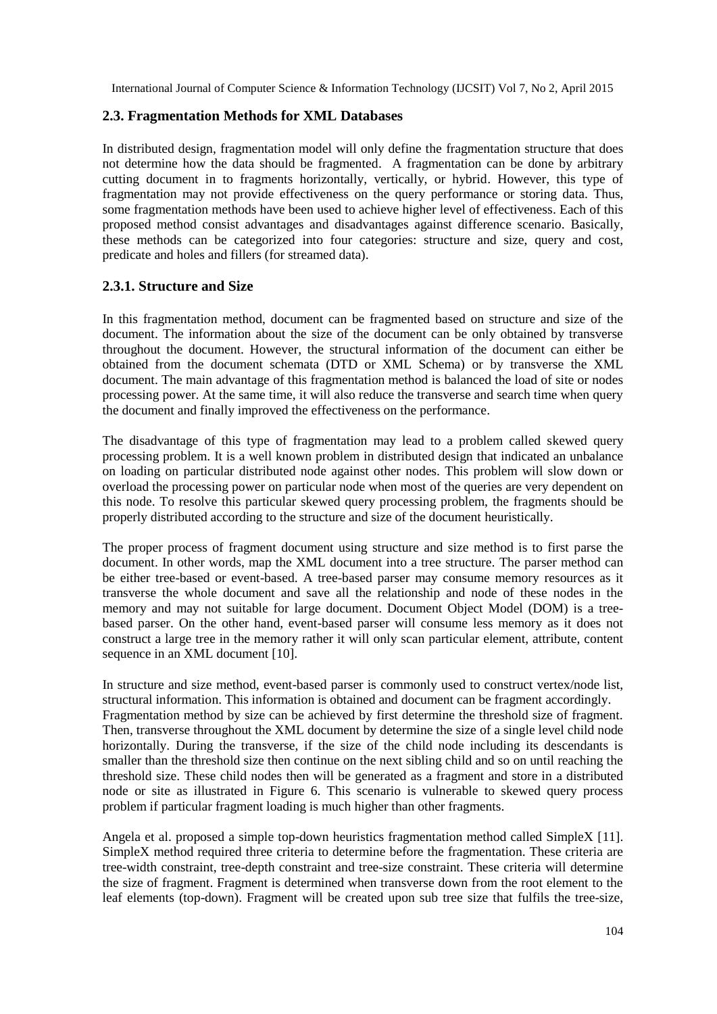## **2.3. Fragmentation Methods for XML Databases**

In distributed design, fragmentation model will only define the fragmentation structure that does not determine how the data should be fragmented. A fragmentation can be done by arbitrary cutting document in to fragments horizontally, vertically, or hybrid. However, this type of fragmentation may not provide effectiveness on the query performance or storing data. Thus, some fragmentation methods have been used to achieve higher level of effectiveness. Each of this proposed method consist advantages and disadvantages against difference scenario. Basically, these methods can be categorized into four categories: structure and size, query and cost, predicate and holes and fillers (for streamed data).

## **2.3.1. Structure and Size**

In this fragmentation method, document can be fragmented based on structure and size of the document. The information about the size of the document can be only obtained by transverse throughout the document. However, the structural information of the document can either be obtained from the document schemata (DTD or XML Schema) or by transverse the XML document. The main advantage of this fragmentation method is balanced the load of site or nodes processing power. At the same time, it will also reduce the transverse and search time when query the document and finally improved the effectiveness on the performance.

The disadvantage of this type of fragmentation may lead to a problem called skewed query processing problem. It is a well known problem in distributed design that indicated an unbalance on loading on particular distributed node against other nodes. This problem will slow down or overload the processing power on particular node when most of the queries are very dependent on this node. To resolve this particular skewed query processing problem, the fragments should be properly distributed according to the structure and size of the document heuristically.

The proper process of fragment document using structure and size method is to first parse the document. In other words, map the XML document into a tree structure. The parser method can be either tree-based or event-based. A tree-based parser may consume memory resources as it transverse the whole document and save all the relationship and node of these nodes in the memory and may not suitable for large document. Document Object Model (DOM) is a treebased parser. On the other hand, event-based parser will consume less memory as it does not construct a large tree in the memory rather it will only scan particular element, attribute, content sequence in an XML document [10].

In structure and size method, event-based parser is commonly used to construct vertex/node list, structural information. This information is obtained and document can be fragment accordingly. Fragmentation method by size can be achieved by first determine the threshold size of fragment. Then, transverse throughout the XML document by determine the size of a single level child node horizontally. During the transverse, if the size of the child node including its descendants is smaller than the threshold size then continue on the next sibling child and so on until reaching the threshold size. These child nodes then will be generated as a fragment and store in a distributed node or site as illustrated in Figure 6. This scenario is vulnerable to skewed query process problem if particular fragment loading is much higher than other fragments.

Angela et al. proposed a simple top-down heuristics fragmentation method called SimpleX [11]. SimpleX method required three criteria to determine before the fragmentation. These criteria are tree-width constraint, tree-depth constraint and tree-size constraint. These criteria will determine the size of fragment. Fragment is determined when transverse down from the root element to the leaf elements (top-down). Fragment will be created upon sub tree size that fulfils the tree-size,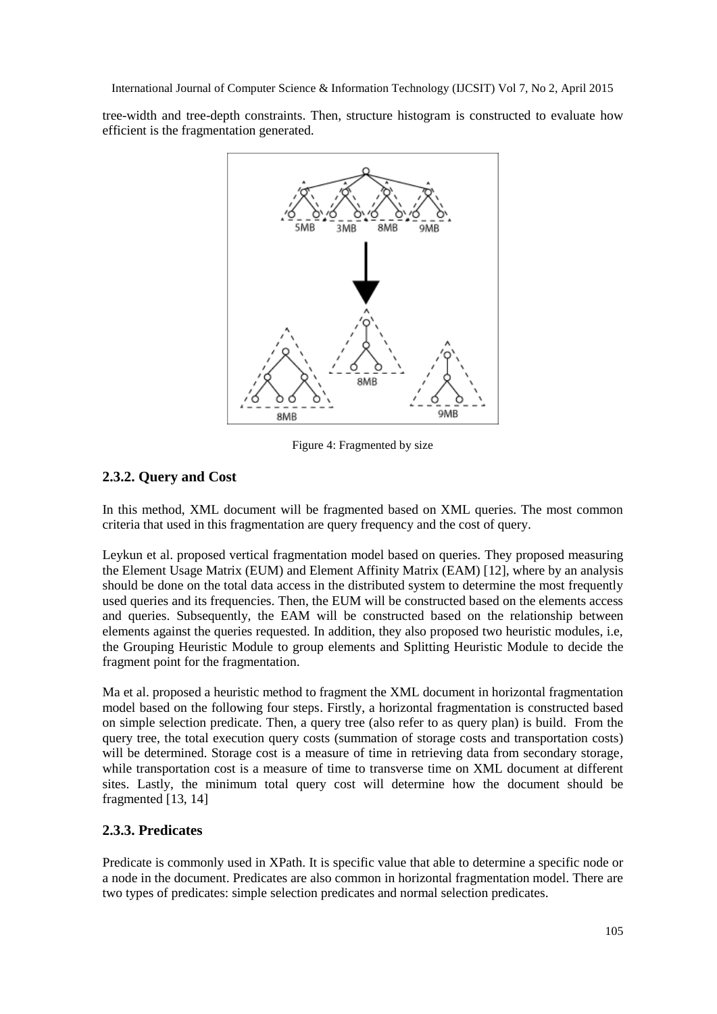tree-width and tree-depth constraints. Then, structure histogram is constructed to evaluate how efficient is the fragmentation generated.



Figure 4: Fragmented by size

# **2.3.2. Query and Cost**

In this method, XML document will be fragmented based on XML queries. The most common criteria that used in this fragmentation are query frequency and the cost of query.

Leykun et al. proposed vertical fragmentation model based on queries. They proposed measuring the Element Usage Matrix (EUM) and Element Affinity Matrix (EAM) [12], where by an analysis should be done on the total data access in the distributed system to determine the most frequently used queries and its frequencies. Then, the EUM will be constructed based on the elements access and queries. Subsequently, the EAM will be constructed based on the relationship between elements against the queries requested. In addition, they also proposed two heuristic modules, i.e, the Grouping Heuristic Module to group elements and Splitting Heuristic Module to decide the fragment point for the fragmentation.

Ma et al. proposed a heuristic method to fragment the XML document in horizontal fragmentation model based on the following four steps. Firstly, a horizontal fragmentation is constructed based on simple selection predicate. Then, a query tree (also refer to as query plan) is build. From the query tree, the total execution query costs (summation of storage costs and transportation costs) will be determined. Storage cost is a measure of time in retrieving data from secondary storage, while transportation cost is a measure of time to transverse time on XML document at different sites. Lastly, the minimum total query cost will determine how the document should be fragmented [13, 14]

# **2.3.3. Predicates**

Predicate is commonly used in XPath. It is specific value that able to determine a specific node or a node in the document. Predicates are also common in horizontal fragmentation model. There are two types of predicates: simple selection predicates and normal selection predicates.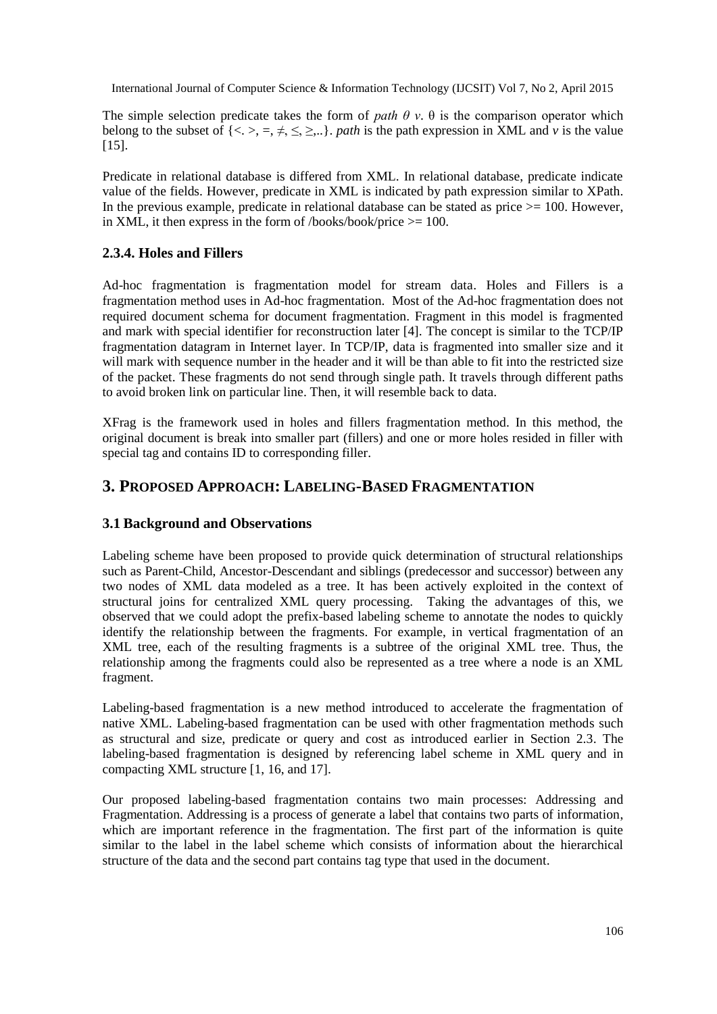The simple selection predicate takes the form of *path*  $\theta$  *v*.  $\theta$  is the comparison operator which belong to the subset of  $\{<,>,=,\neq,\leq,\geq...\}$ , *path* is the path expression in XML and *v* is the value [15].

Predicate in relational database is differed from XML. In relational database, predicate indicate value of the fields. However, predicate in XML is indicated by path expression similar to XPath. In the previous example, predicate in relational database can be stated as price  $\ge$  = 100. However, in XML, it then express in the form of /books/book/price  $> = 100$ .

## **2.3.4. Holes and Fillers**

Ad-hoc fragmentation is fragmentation model for stream data. Holes and Fillers is a fragmentation method uses in Ad-hoc fragmentation. Most of the Ad-hoc fragmentation does not required document schema for document fragmentation. Fragment in this model is fragmented and mark with special identifier for reconstruction later [4]. The concept is similar to the TCP/IP fragmentation datagram in Internet layer. In TCP/IP, data is fragmented into smaller size and it will mark with sequence number in the header and it will be than able to fit into the restricted size of the packet. These fragments do not send through single path. It travels through different paths to avoid broken link on particular line. Then, it will resemble back to data.

XFrag is the framework used in holes and fillers fragmentation method. In this method, the original document is break into smaller part (fillers) and one or more holes resided in filler with special tag and contains ID to corresponding filler.

# **3. PROPOSED APPROACH: LABELING-BASED FRAGMENTATION**

## **3.1 Background and Observations**

Labeling scheme have been proposed to provide quick determination of structural relationships such as Parent-Child, Ancestor-Descendant and siblings (predecessor and successor) between any two nodes of XML data modeled as a tree. It has been actively exploited in the context of structural joins for centralized XML query processing. Taking the advantages of this, we observed that we could adopt the prefix-based labeling scheme to annotate the nodes to quickly identify the relationship between the fragments. For example, in vertical fragmentation of an XML tree, each of the resulting fragments is a subtree of the original XML tree. Thus, the relationship among the fragments could also be represented as a tree where a node is an XML fragment.

Labeling-based fragmentation is a new method introduced to accelerate the fragmentation of native XML. Labeling-based fragmentation can be used with other fragmentation methods such as structural and size, predicate or query and cost as introduced earlier in Section 2.3. The labeling-based fragmentation is designed by referencing label scheme in XML query and in compacting XML structure [1, 16, and 17].

Our proposed labeling-based fragmentation contains two main processes: Addressing and Fragmentation. Addressing is a process of generate a label that contains two parts of information, which are important reference in the fragmentation. The first part of the information is quite similar to the label in the label scheme which consists of information about the hierarchical structure of the data and the second part contains tag type that used in the document.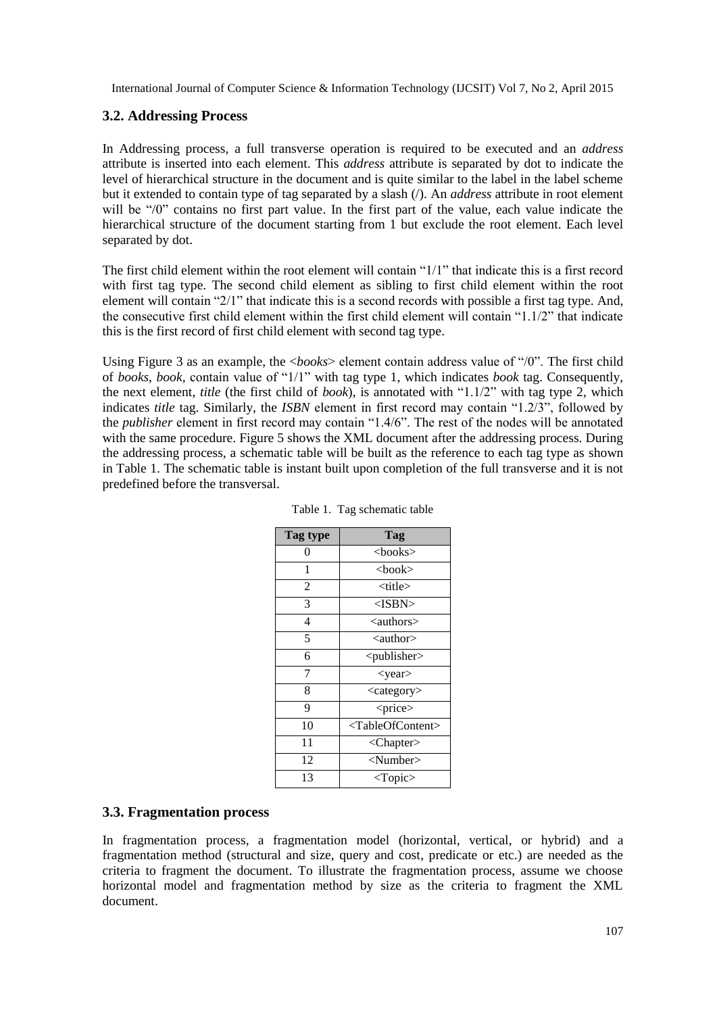## **3.2. Addressing Process**

In Addressing process, a full transverse operation is required to be executed and an *address* attribute is inserted into each element. This *address* attribute is separated by dot to indicate the level of hierarchical structure in the document and is quite similar to the label in the label scheme but it extended to contain type of tag separated by a slash (/). An *address* attribute in root element will be "/0" contains no first part value. In the first part of the value, each value indicate the hierarchical structure of the document starting from 1 but exclude the root element. Each level separated by dot.

The first child element within the root element will contain "1/1" that indicate this is a first record with first tag type. The second child element as sibling to first child element within the root element will contain "2/1" that indicate this is a second records with possible a first tag type. And, the consecutive first child element within the first child element will contain "1.1/2" that indicate this is the first record of first child element with second tag type.

Using Figure 3 as an example, the <*books*> element contain address value of "/0". The first child of *books*, *book,* contain value of "1/1" with tag type 1, which indicates *book* tag. Consequently, the next element, *title* (the first child of *book*), is annotated with "1.1/2" with tag type 2, which indicates *title* tag. Similarly, the *ISBN* element in first record may contain "1.2/3", followed by the *publisher* element in first record may contain "1.4/6". The rest of the nodes will be annotated with the same procedure. Figure 5 shows the XML document after the addressing process. During the addressing process, a schematic table will be built as the reference to each tag type as shown in Table 1. The schematic table is instant built upon completion of the full transverse and it is not predefined before the transversal.

| Tag type       | Tag                               |
|----------------|-----------------------------------|
| 0              | $<$ books $>$                     |
| 1              | <book></book>                     |
| $\overline{c}$ | <title></title>                   |
| 3              | <isbn></isbn>                     |
| 4              | <authors></authors>               |
| 5              | $\alpha$ author                   |
| 6              | $<$ publisher $>$                 |
| 7              | $<$ year $>$                      |
| 8              | <category></category>             |
| 9              | <price></price>                   |
| 10             | <tableofcontent></tableofcontent> |
| 11             | <chapter></chapter>               |
| 12             | $<$ Number $>$                    |
| 13             | $<$ Topic $>$                     |

Table 1. Tag schematic table

## **3.3. Fragmentation process**

In fragmentation process, a fragmentation model (horizontal, vertical, or hybrid) and a fragmentation method (structural and size, query and cost, predicate or etc.) are needed as the criteria to fragment the document. To illustrate the fragmentation process, assume we choose horizontal model and fragmentation method by size as the criteria to fragment the XML document.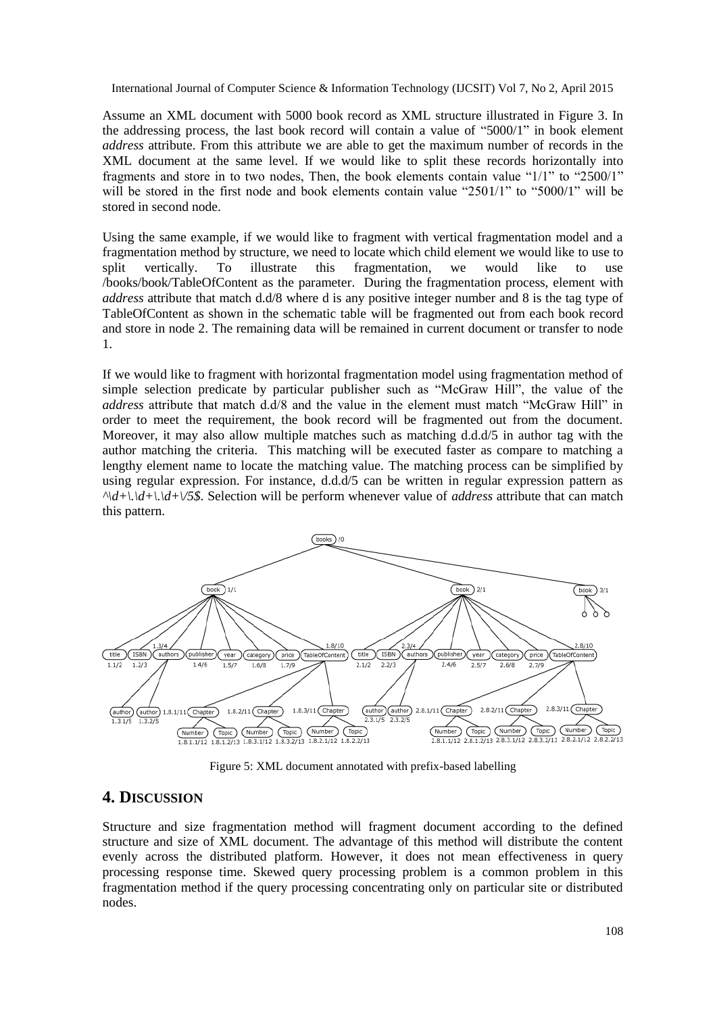Assume an XML document with 5000 book record as XML structure illustrated in Figure 3. In the addressing process, the last book record will contain a value of "5000/1" in book element *address* attribute. From this attribute we are able to get the maximum number of records in the XML document at the same level. If we would like to split these records horizontally into fragments and store in to two nodes, Then, the book elements contain value "1/1" to "2500/1" will be stored in the first node and book elements contain value "2501/1" to "5000/1" will be stored in second node.

Using the same example, if we would like to fragment with vertical fragmentation model and a fragmentation method by structure, we need to locate which child element we would like to use to split vertically. To illustrate this fragmentation, we would like to use /books/book/TableOfContent as the parameter. During the fragmentation process, element with *address* attribute that match d.d/8 where d is any positive integer number and 8 is the tag type of TableOfContent as shown in the schematic table will be fragmented out from each book record and store in node 2. The remaining data will be remained in current document or transfer to node 1.

If we would like to fragment with horizontal fragmentation model using fragmentation method of simple selection predicate by particular publisher such as "McGraw Hill", the value of the *address* attribute that match d.d/8 and the value in the element must match "McGraw Hill" in order to meet the requirement, the book record will be fragmented out from the document. Moreover, it may also allow multiple matches such as matching d.d.d/5 in author tag with the author matching the criteria. This matching will be executed faster as compare to matching a lengthy element name to locate the matching value. The matching process can be simplified by using regular expression. For instance, d.d.d/5 can be written in regular expression pattern as *^\d+\.\d+\.\d+\/5\$*. Selection will be perform whenever value of *address* attribute that can match this pattern.



Figure 5: XML document annotated with prefix-based labelling

# **4. DISCUSSION**

Structure and size fragmentation method will fragment document according to the defined structure and size of XML document. The advantage of this method will distribute the content evenly across the distributed platform. However, it does not mean effectiveness in query processing response time. Skewed query processing problem is a common problem in this fragmentation method if the query processing concentrating only on particular site or distributed nodes.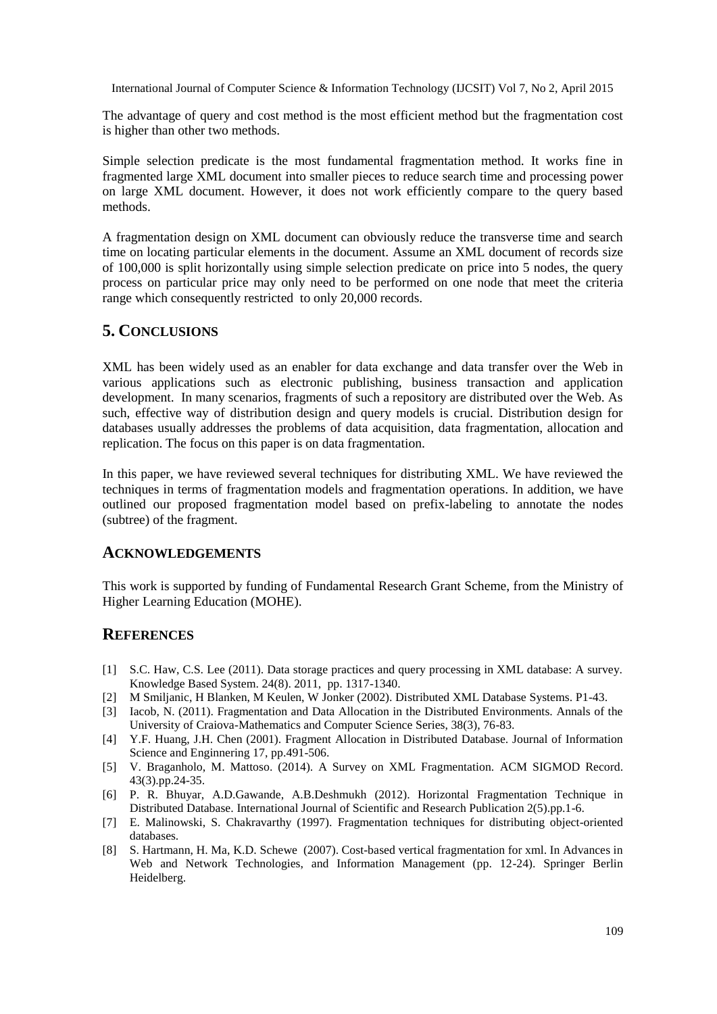The advantage of query and cost method is the most efficient method but the fragmentation cost is higher than other two methods.

Simple selection predicate is the most fundamental fragmentation method. It works fine in fragmented large XML document into smaller pieces to reduce search time and processing power on large XML document. However, it does not work efficiently compare to the query based methods.

A fragmentation design on XML document can obviously reduce the transverse time and search time on locating particular elements in the document. Assume an XML document of records size of 100,000 is split horizontally using simple selection predicate on price into 5 nodes, the query process on particular price may only need to be performed on one node that meet the criteria range which consequently restricted to only 20,000 records.

## **5. CONCLUSIONS**

XML has been widely used as an enabler for data exchange and data transfer over the Web in various applications such as electronic publishing, business transaction and application development. In many scenarios, fragments of such a repository are distributed over the Web. As such, effective way of distribution design and query models is crucial. Distribution design for databases usually addresses the problems of data acquisition, data fragmentation, allocation and replication. The focus on this paper is on data fragmentation.

In this paper, we have reviewed several techniques for distributing XML. We have reviewed the techniques in terms of fragmentation models and fragmentation operations. In addition, we have outlined our proposed fragmentation model based on prefix-labeling to annotate the nodes (subtree) of the fragment.

## **ACKNOWLEDGEMENTS**

This work is supported by funding of Fundamental Research Grant Scheme, from the Ministry of Higher Learning Education (MOHE).

## **REFERENCES**

- [1] S.C. Haw, C.S. Lee (2011). Data storage practices and query processing in XML database: A survey. Knowledge Based System. 24(8). 2011, pp. 1317-1340.
- [2] M Smiljanic, H Blanken, M Keulen, W Jonker (2002). Distributed XML Database Systems. P1-43.
- [3] Iacob, N. (2011). Fragmentation and Data Allocation in the Distributed Environments. Annals of the University of Craiova-Mathematics and Computer Science Series, 38(3), 76-83.
- [4] Y.F. Huang, J.H. Chen (2001). Fragment Allocation in Distributed Database. Journal of Information Science and Enginnering 17, pp.491-506.
- [5] V. Braganholo, M. Mattoso. (2014). A Survey on XML Fragmentation. ACM SIGMOD Record. 43(3).pp.24-35.
- [6] P. R. Bhuyar, A.D.Gawande, A.B.Deshmukh (2012). Horizontal Fragmentation Technique in Distributed Database. International Journal of Scientific and Research Publication 2(5).pp.1-6.
- [7] E. Malinowski, S. Chakravarthy (1997). Fragmentation techniques for distributing object-oriented databases.
- [8] S. Hartmann, H. Ma, K.D. Schewe (2007). Cost-based vertical fragmentation for xml. In Advances in Web and Network Technologies, and Information Management (pp. 12-24). Springer Berlin Heidelberg.